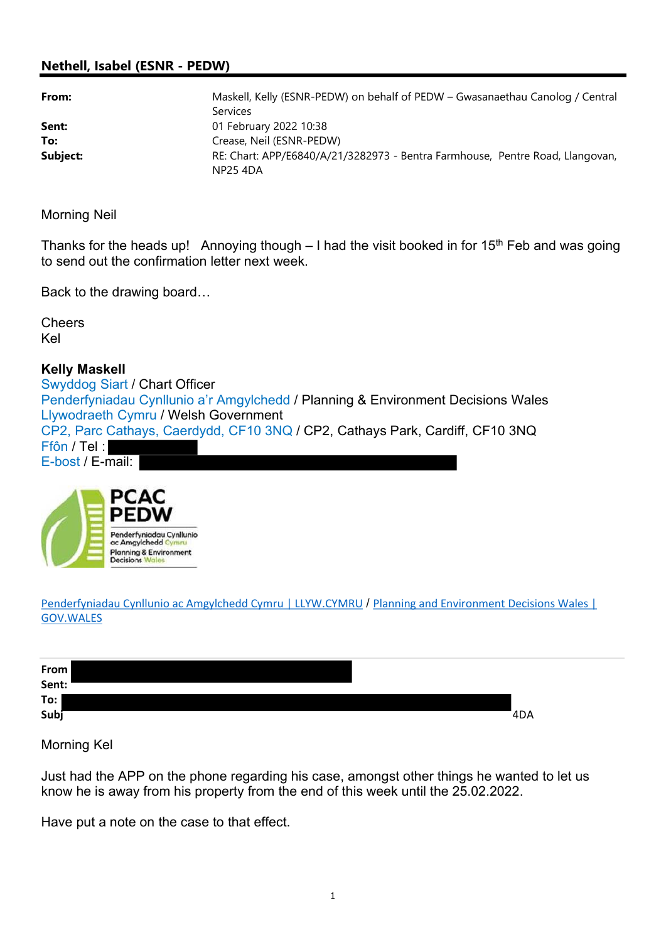## Nethell, Isabel (ESNR - PEDW)

| From:    | Maskell, Kelly (ESNR-PEDW) on behalf of PEDW – Gwasanaethau Canolog / Central             |
|----------|-------------------------------------------------------------------------------------------|
|          | <b>Services</b>                                                                           |
| Sent:    | 01 February 2022 10:38                                                                    |
| To:      | Crease, Neil (ESNR-PEDW)                                                                  |
| Subject: | RE: Chart: APP/E6840/A/21/3282973 - Bentra Farmhouse, Pentre Road, Llangovan,<br>NP25 4DA |

Morning Neil

Thanks for the heads up! Annoying though  $-1$  had the visit booked in for 15<sup>th</sup> Feb and was going to send out the confirmation letter next week.

Back to the drawing board…

**Cheers** Kel

## Kelly Maskell

Swyddog Siart / Chart Officer Penderfyniadau Cynllunio a'r Amgylchedd / Planning & Environment Decisions Wales Llywodraeth Cymru / Welsh Government CP2, Parc Cathays, Caerdydd, CF10 3NQ / CP2, Cathays Park, Cardiff, CF10 3NQ Ffôn / Tel : E-bost / E-mail:



Penderfyniadau Cynllunio ac Amgylchedd Cymru | LLYW.CYMRU / Planning and Environment Decisions Wales | GOV.WALES

| From<br>Sent: |     |
|---------------|-----|
| To:           |     |
| Subj          | 4DA |

Morning Kel

Just had the APP on the phone regarding his case, amongst other things he wanted to let us know he is away from his property from the end of this week until the 25.02.2022.

Have put a note on the case to that effect.